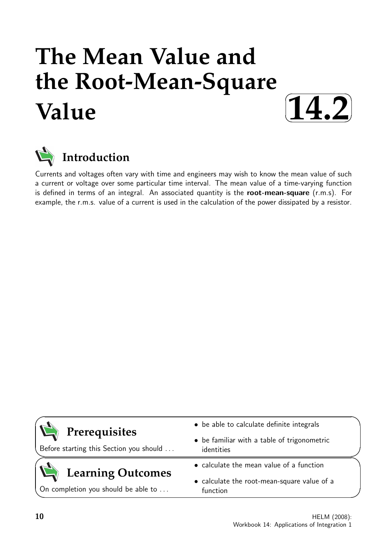# **The Mean Value and the Root-Mean-Square Value**





Currents and voltages often vary with time and engineers may wish to know the mean value of such a current or voltage over some particular time interval. The mean value of a time-varying function is defined in terms of an integral. An associated quantity is the root-mean-square (r.m.s). For example, the r.m.s. value of a current is used in the calculation of the power dissipated by a resistor.

|                                                          | • be able to calculate definite integrals                 |  |  |  |
|----------------------------------------------------------|-----------------------------------------------------------|--|--|--|
| Prerequisites<br>Before starting this Section you should | • be familiar with a table of trigonometric<br>identities |  |  |  |
| <b>Learning Outcomes</b>                                 | • calculate the mean value of a function                  |  |  |  |
| On completion you should be able to                      | • calculate the root-mean-square value of a<br>function   |  |  |  |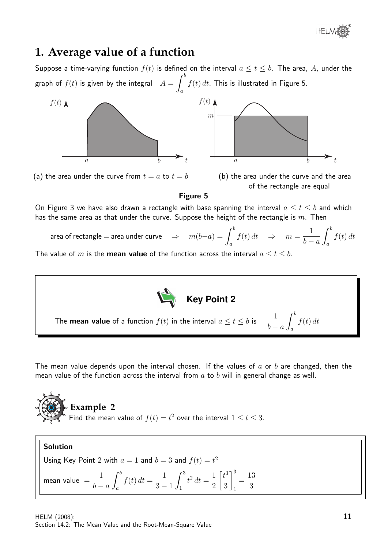

# **1. Average value of a function**

Suppose a time-varying function  $f(t)$  is defined on the interval  $a \le t \le b$ . The area, A, under the graph of  $f(t)$  is given by the integral  $A=\int^b$  $f(t) dt$ . This is illustrated in Figure 5.



(a) the area under the curve from  $t = a$  to  $t = b$  (b) the area under the curve and the area



Figure 5

On Figure 3 we have also drawn a rectangle with base spanning the interval  $a \leq t \leq b$  and which has the same area as that under the curve. Suppose the height of the rectangle is  $m$ . Then

area of rectangle = area under curve  $\Rightarrow$   $m(b-$ 

$$
-a) = \int_{a}^{b} f(t) dt \quad \Rightarrow \quad m = \frac{1}{b-a} \int_{a}^{b} f(t) dt
$$

The value of m is the **mean value** of the function across the interval  $a \le t \le b$ .



The mean value depends upon the interval chosen. If the values of  $a$  or  $b$  are changed, then the mean value of the function across the interval from  $a$  to  $b$  will in general change as well.



# Solution

Using Key Point 2 with 
$$
a = 1
$$
 and  $b = 3$  and  $f(t) = t^2$ 

$$
\text{mean value } = \frac{1}{b-a} \int_a^b f(t) \, dt = \frac{1}{3-1} \int_1^3 t^2 \, dt = \frac{1}{2} \left[ \frac{t^3}{3} \right]_1^3 = \frac{13}{3}
$$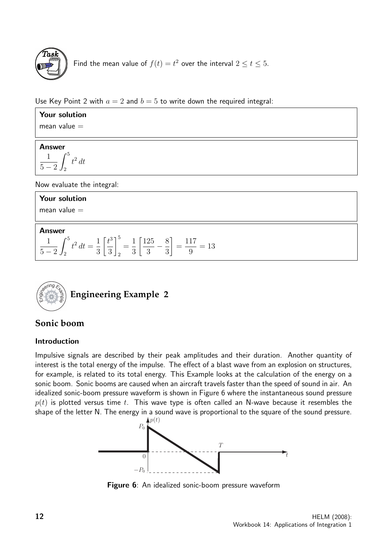

Find the mean value of  $f(t) = t^2$  over the interval  $2 \le t \le 5$ .

Use Key Point 2 with  $a = 2$  and  $b = 5$  to write down the required integral:

| Your solution                                                                                                                                                    |
|------------------------------------------------------------------------------------------------------------------------------------------------------------------|
| mean value $=$                                                                                                                                                   |
|                                                                                                                                                                  |
| <b>Answer</b>                                                                                                                                                    |
| $\frac{1}{5-2}\int_{2}^{5}t^{2}dt$                                                                                                                               |
| Now evaluate the integral:                                                                                                                                       |
| Your solution                                                                                                                                                    |
| mean value $=$                                                                                                                                                   |
| <b>Answer</b>                                                                                                                                                    |
| $\frac{1}{5-2}\int_{2}^{5}t^{2} dt = \frac{1}{3}\left[\frac{t^{3}}{3}\right]_{2}^{5} = \frac{1}{3}\left[\frac{125}{3} - \frac{8}{3}\right] = \frac{117}{9} = 13$ |



# **Sonic boom**

# Introduction

Impulsive signals are described by their peak amplitudes and their duration. Another quantity of interest is the total energy of the impulse. The effect of a blast wave from an explosion on structures, for example, is related to its total energy. This Example looks at the calculation of the energy on a sonic boom. Sonic booms are caused when an aircraft travels faster than the speed of sound in air. An idealized sonic-boom pressure waveform is shown in Figure 6 where the instantaneous sound pressure  $p(t)$  is plotted versus time t. This wave type is often called an N-wave because it resembles the shape of the letter N. The energy in a sound wave is proportional to the square of the sound pressure.



Figure 6: An idealized sonic-boom pressure waveform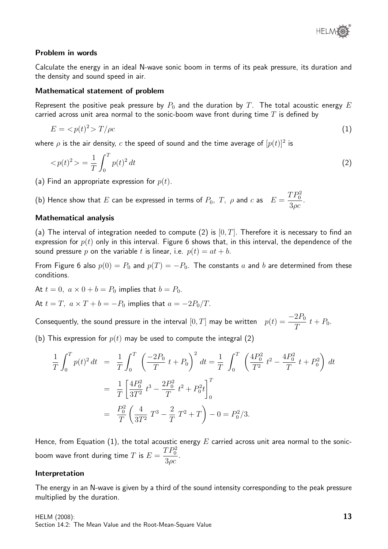

### Problem in words

Calculate the energy in an ideal N-wave sonic boom in terms of its peak pressure, its duration and the density and sound speed in air.

#### Mathematical statement of problem

Represent the positive peak pressure by  $P_0$  and the duration by  $T$ . The total acoustic energy  $E$ carried across unit area normal to the sonic-boom wave front during time  $T$  is defined by

$$
E = \langle p(t)^2 \rangle T/\rho c \tag{1}
$$

where  $\rho$  is the air density,  $c$  the speed of sound and the time average of  $[p(t)]^2$  is

$$
\langle p(t)^2 \rangle = \frac{1}{T} \int_0^T p(t)^2 \, dt \tag{2}
$$

(a) Find an appropriate expression for  $p(t)$ .

(b) Hence show that  $E$  can be expressed in terms of  $P_0,~T,~\rho$  and  $c$  as  $E=$  $TP_0^2$  $3\rho c$ .

### Mathematical analysis

(a) The interval of integration needed to compute (2) is  $[0, T]$ . Therefore it is necessary to find an expression for  $p(t)$  only in this interval. Figure 6 shows that, in this interval, the dependence of the sound pressure p on the variable t is linear, i.e.  $p(t) = at + b$ .

From Figure 6 also  $p(0) = P_0$  and  $p(T) = -P_0$ . The constants a and b are determined from these conditions.

At  $t = 0$ ,  $a \times 0 + b = P_0$  implies that  $b = P_0$ .

At  $t = T$ ,  $a \times T + b = -P_0$  implies that  $a = -2P_0/T$ .

Consequently, the sound pressure in the interval  $[0,T]$  may be written  $p(t) = \frac{-2P_0}{T}$  $\frac{21}{T}$  t + P<sub>0</sub>.

(b) This expression for  $p(t)$  may be used to compute the integral (2)

$$
\frac{1}{T} \int_0^T p(t)^2 dt = \frac{1}{T} \int_0^T \left( \frac{-2P_0}{T} t + P_0 \right)^2 dt = \frac{1}{T} \int_0^T \left( \frac{4P_0^2}{T^2} t^2 - \frac{4P_0^2}{T} t + P_0^2 \right) dt
$$
  
\n
$$
= \frac{1}{T} \left[ \frac{4P_0^2}{3T^2} t^3 - \frac{2P_0^2}{T} t^2 + P_0^2 t \right]_0^T
$$
  
\n
$$
= \frac{P_0^2}{T} \left( \frac{4}{3T^2} T^3 - \frac{2}{T} T^2 + T \right) - 0 = P_0^2 / 3.
$$

Hence, from Equation (1), the total acoustic energy  $E$  carried across unit area normal to the sonicboom wave front during time  $T$  is  $E=\,$  $TP_0^2$  $3\rho c$ .

#### Interpretation

The energy in an N-wave is given by a third of the sound intensity corresponding to the peak pressure multiplied by the duration.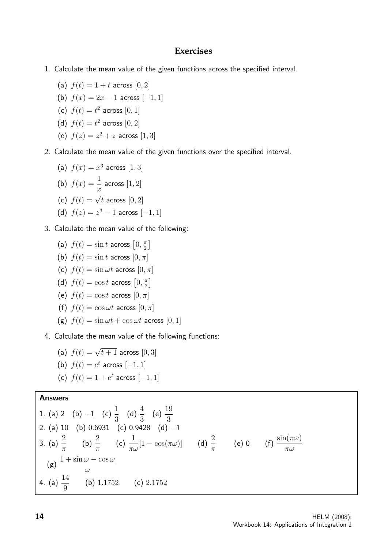# **Exercises**

- 1. Calculate the mean value of the given functions across the specified interval.
	- (a)  $f(t) = 1 + t$  across  $[0, 2]$
	- (b)  $f(x) = 2x 1$  across  $[-1, 1]$
	- (c)  $f(t) = t^2$  across  $[0, 1]$
	- (d)  $f(t) = t^2$  across  $[0, 2]$
	- (e)  $f(z) = z^2 + z$  across [1, 3]

### 2. Calculate the mean value of the given functions over the specified interval.

- (a)  $f(x) = x^3$  across [1, 3] (b)  $f(x) = \frac{1}{x}$  $\overline{x}$ across  $\left[1,2\right]$ (c)  $f(t) = \sqrt{t}$  across  $[0, 2]$ (d)  $f(z) = z^3 - 1$  across  $[-1, 1]$
- 3. Calculate the mean value of the following:
	- (a)  $f(t) = \sin t$  across  $\left[0, \frac{\pi}{2}\right]$  $\frac{\pi}{2}$
	- (b)  $f(t) = \sin t$  across  $[0, \pi]$
	- (c)  $f(t) = \sin \omega t$  across  $[0, \pi]$
	- (d)  $f(t) = \cos t$  across  $\left[0, \frac{\pi}{2}\right]$  $\frac{\pi}{2}$
	- (e)  $f(t) = \cos t$  across  $[0, \pi]$
	- (f)  $f(t) = \cos \omega t$  across  $[0, \pi]$
	- (g)  $f(t) = \sin \omega t + \cos \omega t$  across  $[0, 1]$
- 4. Calculate the mean value of the following functions:
	- (a)  $f(t) = \sqrt{t+1}$  across  $[0,3]$
	- (b)  $f(t) = e^t$  across  $[-1, 1]$
	- (c)  $f(t) = 1 + e^t$  across  $[-1, 1]$

### Answers

1. (a) 2 (b) -1 (c) 
$$
\frac{1}{3}
$$
 (d)  $\frac{4}{3}$  (e)  $\frac{19}{3}$   
\n2. (a) 10 (b) 0.6931 (c) 0.9428 (d) -1  
\n3. (a)  $\frac{2}{\pi}$  (b)  $\frac{2}{\pi}$  (c)  $\frac{1}{\pi\omega}[1 - \cos(\pi\omega)]$  (d)  $\frac{2}{\pi}$  (e) 0 (f)  $\frac{\sin(\pi\omega)}{\pi\omega}$   
\n(g)  $\frac{1 + \sin \omega - \cos \omega}{\omega}$   
\n4. (a)  $\frac{14}{9}$  (b) 1.1752 (c) 2.1752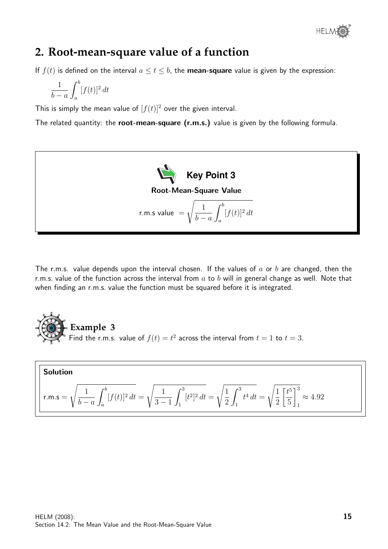

# **2. Root-mean-square value of a function**

If  $f(t)$  is defined on the interval  $a \le t \le b$ , the **mean-square** value is given by the expression:

$$
\frac{1}{b-a} \int_a^b [f(t)]^2 dt
$$

This is simply the mean value of  $[f(t)]^2$  over the given interval.

The related quantity: the root-mean-square (r.m.s.) value is given by the following formula.



The r.m.s. value depends upon the interval chosen. If the values of  $a$  or  $b$  are changed, then the r.m.s. value of the function across the interval from  $a$  to  $b$  will in general change as well. Note that when finding an r.m.s. value the function must be squared before it is integrated.



Solution  
r.m.s = 
$$
\sqrt{\frac{1}{b-a} \int_a^b [f(t)]^2 dt} = \sqrt{\frac{1}{3-1} \int_1^3 [t^2]^2 dt} = \sqrt{\frac{1}{2} \int_1^3 t^4 dt} = \sqrt{\frac{1}{2} \left[\frac{t^5}{5}\right]_1^3} \approx 4.92
$$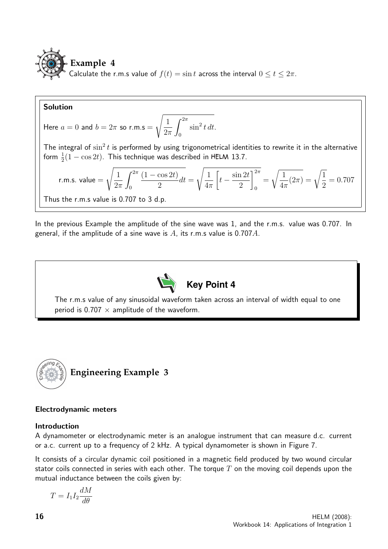

Solution

Here  $a = 0$  and  $b = 2\pi$  so r.m.s =  $\sqrt{1}$  $2\pi$  $\int^{2\pi}$ 0  $\sin^2 t \, dt$ .

The integral of  $\sin^2 t$  is performed by using trigonometrical identities to rewrite it in the alternative form  $\frac{1}{2}(1-\cos 2t)$ . This technique was described in HELM 13.7.

r.m.s. value = 
$$
\sqrt{\frac{1}{2\pi} \int_0^{2\pi} \frac{(1 - \cos 2t)}{2} dt} = \sqrt{\frac{1}{4\pi} \left[ t - \frac{\sin 2t}{2} \right]_0^{2\pi}} = \sqrt{\frac{1}{4\pi} (2\pi)} = \sqrt{\frac{1}{2}} = 0.707
$$

Thus the r.m.s value is 0.707 to 3 d.p.

In the previous Example the amplitude of the sine wave was 1, and the r.m.s. value was 0.707. In general, if the amplitude of a sine wave is  $A$ , its r.m.s value is 0.707 $A$ .



The r.m.s value of any sinusoidal waveform taken across an interval of width equal to one period is 0.707  $\times$  amplitude of the waveform.



# Electrodynamic meters

### Introduction

A dynamometer or electrodynamic meter is an analogue instrument that can measure d.c. current or a.c. current up to a frequency of 2 kHz. A typical dynamometer is shown in Figure 7.

It consists of a circular dynamic coil positioned in a magnetic field produced by two wound circular stator coils connected in series with each other. The torque  $T$  on the moving coil depends upon the mutual inductance between the coils given by:

$$
T = I_1 I_2 \frac{dM}{d\theta}
$$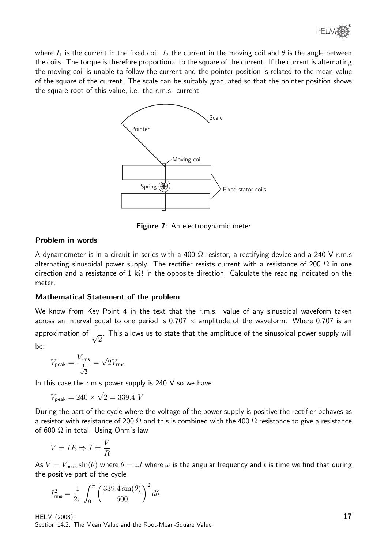

where  $I_1$  is the current in the fixed coil,  $I_2$  the current in the moving coil and  $\theta$  is the angle between the coils. The torque is therefore proportional to the square of the current. If the current is alternating the moving coil is unable to follow the current and the pointer position is related to the mean value of the square of the current. The scale can be suitably graduated so that the pointer position shows the square root of this value, i.e. the r.m.s. current.



Figure 7: An electrodynamic meter

## Problem in words

A dynamometer is in a circuit in series with a 400  $\Omega$  resistor, a rectifying device and a 240 V r.m.s alternating sinusoidal power supply. The rectifier resists current with a resistance of 200  $\Omega$  in one direction and a resistance of 1 k $\Omega$  in the opposite direction. Calculate the reading indicated on the meter.

# Mathematical Statement of the problem

We know from Key Point 4 in the text that the r.m.s. value of any sinusoidal waveform taken across an interval equal to one period is 0.707  $\times$  amplitude of the waveform. Where 0.707 is an approximation of  $\frac{1}{\sqrt{2}}$ 2 . This allows us to state that the amplitude of the sinusoidal power supply will be:

$$
V_{\rm peak} = \frac{V_{\rm rms}}{\frac{1}{\sqrt{2}}} = \sqrt{2} V_{\rm rms}
$$

In this case the r.m.s power supply is  $240$  V so we have

$$
V_{\text{peak}} = 240 \times \sqrt{2} = 339.4 \text{ V}
$$

During the part of the cycle where the voltage of the power supply is positive the rectifier behaves as a resistor with resistance of 200  $\Omega$  and this is combined with the 400  $\Omega$  resistance to give a resistance of 600  $\Omega$  in total. Using Ohm's law

$$
V = IR \Rightarrow I = \frac{V}{R}
$$

As  $V = V_{\text{peak}} \sin(\theta)$  where  $\theta = \omega t$  where  $\omega$  is the angular frequency and t is time we find that during the positive part of the cycle

$$
I_{\rm rms}^2 = \frac{1}{2\pi} \int_0^{\pi} \left( \frac{339.4 \sin(\theta)}{600} \right)^2 d\theta
$$

HELM (2008): Section 14.2: The Mean Value and the Root-Mean-Square Value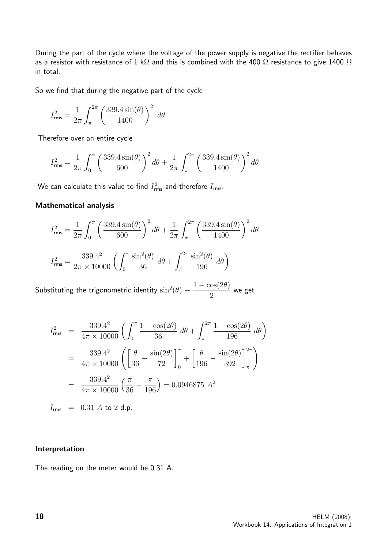During the part of the cycle where the voltage of the power supply is negative the rectifier behaves as a resistor with resistance of 1 k $\Omega$  and this is combined with the 400  $\Omega$  resistance to give 1400  $\Omega$ in total.

So we find that during the negative part of the cycle

$$
I_{\rm rms}^2 = \frac{1}{2\pi} \int_{\pi}^{2\pi} \left( \frac{339.4 \sin(\theta)}{1400} \right)^2 d\theta
$$

Therefore over an entire cycle

$$
I_{\rm rms}^2 = \frac{1}{2\pi} \int_0^{\pi} \left( \frac{339.4 \sin(\theta)}{600} \right)^2 d\theta + \frac{1}{2\pi} \int_{\pi}^{2\pi} \left( \frac{339.4 \sin(\theta)}{1400} \right)^2 d\theta
$$

We can calculate this value to find  $I_{\mathsf{rms}}^2$  and therefore  $I_{\mathsf{rms}}.$ 

### Mathematical analysis

$$
I_{\rm rms}^2 = \frac{1}{2\pi} \int_0^{\pi} \left(\frac{339.4\sin(\theta)}{600}\right)^2 d\theta + \frac{1}{2\pi} \int_{\pi}^{2\pi} \left(\frac{339.4\sin(\theta)}{1400}\right)^2 d\theta
$$

$$
I_{\rm rms}^2 = \frac{339.4^2}{2\pi \times 10000} \left(\int_0^{\pi} \frac{\sin^2(\theta)}{36} d\theta + \int_{\pi}^{2\pi} \frac{\sin^2(\theta)}{196} d\theta\right)
$$

Substituting the trigonometric identity  $\sin^2(\theta) \equiv$  $1 - \cos(2\theta)$ 2 we get

$$
I_{\text{rms}}^2 = \frac{339.4^2}{4\pi \times 10000} \left( \int_0^\pi \frac{1 - \cos(2\theta)}{36} \, d\theta + \int_\pi^{2\pi} \frac{1 - \cos(2\theta)}{196} \, d\theta \right)
$$
  
= 
$$
\frac{339.4^2}{4\pi \times 10000} \left( \left[ \frac{\theta}{36} - \frac{\sin(2\theta)}{72} \right]_0^\pi + \left[ \frac{\theta}{196} - \frac{\sin(2\theta)}{392} \right]_\pi^{2\pi} \right)
$$
  
= 
$$
\frac{339.4^2}{4\pi \times 10000} \left( \frac{\pi}{36} + \frac{\pi}{196} \right) = 0.0946875 \, A^2
$$

$$
I_{\rm rms} = 0.31 \text{ A to } 2 \text{ d.p.}
$$

### Interpretation

The reading on the meter would be 0.31 A.